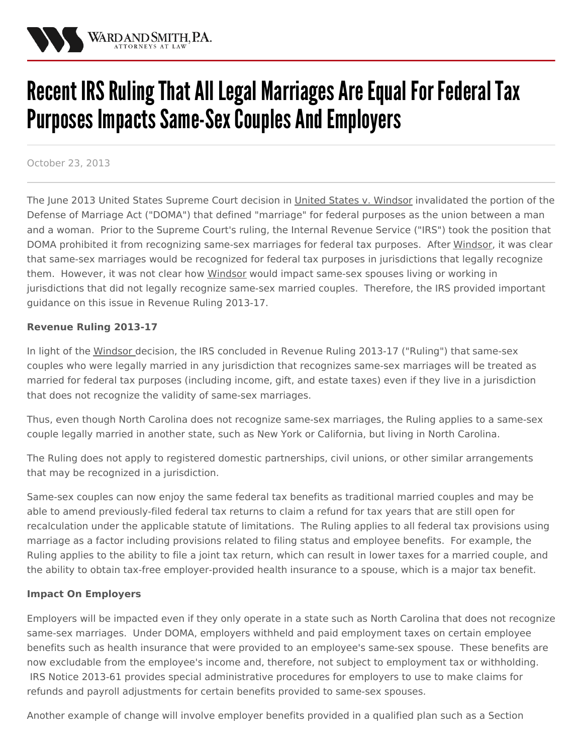

# Recent IRS Ruling That All Legal Marriages Are Equal For Federal Tax Purposes Impacts Same-Sex Couples And Employers

October 23, 2013

The June 2013 United States Supreme Court decision in United States v. [Windsor](http://www.scotusblog.com/case-files/cases/windsor-v-united-states-2/) invalidated the portion of the Defense of Marriage Act ("DOMA") that defined "marriage" for federal purposes as the union between a man and a woman. Prior to the Supreme Court's ruling, the Internal Revenue Service ("IRS") took the position that DOMA prohibited it from recognizing same-sex marriages for federal tax purposes. After Windsor, it was clear that same-sex marriages would be recognized for federal tax purposes in jurisdictions that legally recognize them. However, it was not clear how Windsor would impact same-sex spouses living or working in jurisdictions that did not legally recognize same-sex married couples. Therefore, the IRS provided important guidance on this issue in Revenue Ruling 2013-17.

### **Revenue Ruling 2013-17**

In light of the Windsor decision, the IRS concluded in Revenue Ruling 2013-17 ("Ruling") that same-sex couples who were legally married in any [jurisdiction](/practices/family-law) that recognizes same‑sex marriages will be treated as married for federal tax purposes (including income, gift, and estate taxes) even if they live in a jurisdiction that does not recognize the validity of same‑sex marriages.

Thus, even though North Carolina does not recognize same-sex marriages, the Ruling applies to a same‑sex couple legally married in another state, such as New York or California, but living in North Carolina.

The Ruling does not apply to registered domestic partnerships, civil unions, or other similar arrangements that may be recognized in a jurisdiction.

Same‑sex couples can now enjoy the same federal tax benefits as traditional married couples and may be able to amend previously-filed federal tax returns to claim a refund for tax years that are still open for recalculation under the applicable statute of limitations. The Ruling applies to all federal tax provisions using marriage as a factor including provisions related to filing status and employee benefits. For example, the Ruling applies to the ability to file a joint tax return, which can result in lower taxes for a married couple, and the ability to obtain tax‑free employer‑provided health insurance to a spouse, which is a major tax benefit.

### **Impact On Employers**

Employers will be impacted even if they only operate in a state such as North Carolina that does not recognize same-sex marriages. Under DOMA, employers withheld and paid employment taxes on certain employee benefits such as health insurance that were provided to an employee's same-sex spouse. These benefits are now excludable from the employee's income and, therefore, not subject to employment tax or withholding. IRS Notice 2013-61 provides special administrative procedures for employers to use to make claims for refunds and payroll adjustments for certain benefits provided to same-sex spouses.

Another example of change will involve employer benefits provided in a qualified plan such as a Section